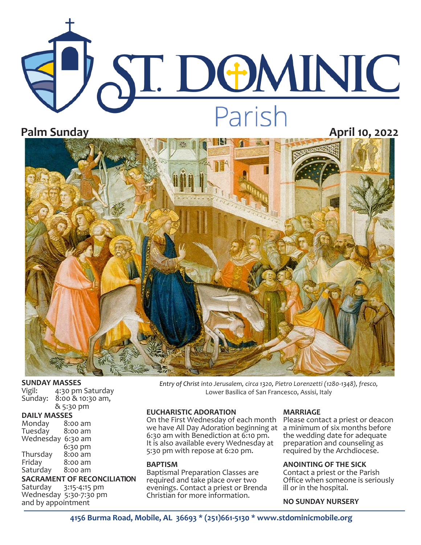# ST. DOMINIC **Parish**<br>**Palm Sunday April 10, 2022**



#### **SUNDAY MASSES**

| Vigil:  | 4:30 pm Saturday |
|---------|------------------|
| Sunday: | 8:00 & 10:30 am, |
|         | & 5:30 pm        |

| <b>DAILY MASSES</b>           |         |  |  |  |
|-------------------------------|---------|--|--|--|
| Monday                        | 8:00 am |  |  |  |
| Tuesday                       | 8:00 am |  |  |  |
| Wednesday                     | 6:30 am |  |  |  |
|                               | 6:30 pm |  |  |  |
| Thursday                      | 8:00 am |  |  |  |
| Friday                        | 8:00 am |  |  |  |
| Saturday                      | 8:00 am |  |  |  |
| <b>SACRAMENT OF RECONCILI</b> |         |  |  |  |

### **SACRAMENT OF RECONCILIATION**<br>Saturday 3:15-4:15 pm

3:15-4:15 pm Wednesday 5:30-7:30 pm and by appointment

*Entry of Christ into Jerusalem, circa 1320, Pietro Lorenzetti (1280-1348), fresco,*  Lower Basilica of San Francesco, Assisi, Italy

#### **EUCHARISTIC ADORATION**

On the First Wednesday of each month Please contact a priest or deacon we have All Day Adoration beginning at a minimum of six months before 6:30 am with Benediction at 6:10 pm. It is also available every Wednesday at 5:30 pm with repose at 6:20 pm.

#### **BAPTISM**

Baptismal Preparation Classes are required and take place over two evenings. Contact a priest or Brenda Christian for more information.

#### **MARRIAGE**

the wedding date for adequate preparation and counseling as required by the Archdiocese.

#### **ANOINTING OF THE SICK**

Contact a priest or the Parish Office when someone is seriously ill or in the hospital.

#### **NO SUNDAY NURSERY**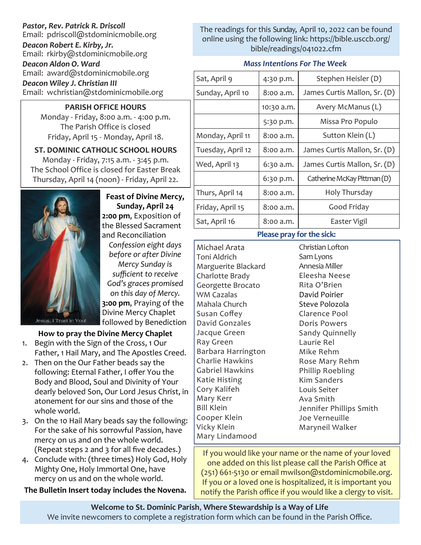#### *Pastor, Rev. Patrick R. Driscoll*

Email: pdriscoll@stdominicmobile.org

*Deacon Robert E. Kirby, Jr.* Email: rkirby@stdominicmobile.org *Deacon Aldon O. Ward*

Email: award@stdominicmobile.org *Deacon Wiley J. Christian III*

Email: wchristian@stdominicmobile.org

#### **PARISH OFFICE HOURS**

Monday - Friday, 8:00 a.m. - 4:00 p.m. The Parish Office is closed Friday, April 15 - Monday, April 18.

#### **ST. DOMINIC CATHOLIC SCHOOL HOURS**  Monday - Friday, 7:15 a.m. - 3:45 p.m.

The School Office is closed for Easter Break Thursday, April 14 (noon) - Friday, April 22.



**Feast of Divine Mercy, Sunday, April 24 2:00 pm**, Exposition of the Blessed Sacrament and Reconciliation

*Confession eight days before or after Divine* 

*Mercy Sunday is sufficient to receive God's graces promised on this day of Mercy.* **3:00 pm**, Praying of the Divine Mercy Chaplet followed by Benediction

#### **How to pray the Divine Mercy Chaplet**

- 1. Begin with the Sign of the Cross, 1 Our Father, 1 Hail Mary, and The Apostles Creed.
- 2. Then on the Our Father beads say the following: Eternal Father, I offer You the Body and Blood, Soul and Divinity of Your dearly beloved Son, Our Lord Jesus Christ, in atonement for our sins and those of the whole world.
- 3. On the 10 Hail Mary beads say the following: For the sake of his sorrowful Passion, have mercy on us and on the whole world. (Repeat steps 2 and 3 for all five decades.)
- 4. Conclude with: (three times) Holy God, Holy Mighty One, Holy Immortal One, have mercy on us and on the whole world.

**The Bulletin Insert today includes the Novena.** 

The readings for this Sunday, April 10, 2022 can be found online using the following link: https://bible.usccb.org/ bible/readings/041022.cfm

#### *Mass Intentions For The Week*

| 4:30 p.m.  | Stephen Heisler (D)          |
|------------|------------------------------|
| 8:00 a.m.  | James Curtis Mallon, Sr. (D) |
| 10:30 a.m. | Avery McManus (L)            |
| 5:30 p.m.  | Missa Pro Populo             |
| 8:00 a.m.  | Sutton Klein (L)             |
| 8:00 a.m.  | James Curtis Mallon, Sr. (D) |
| 6:30 a.m.  | James Curtis Mallon, Sr. (D) |
| 6:30 p.m.  | Catherine McKay Pittman (D)  |
| 8:00 a.m.  | Holy Thursday                |
| 8:00 a.m.  | Good Friday                  |
| 8:00 a.m.  | Easter Vigil                 |
|            |                              |

#### **Please pray for the sick:**

Michael Arata Toni Aldrich Marguerite Blackard Charlotte Brady Georgette Brocato WM Cazalas Mahala Church Susan Coffey David Gonzales Jacque Green Ray Green Barbara Harrington Charlie Hawkins Gabriel Hawkins Katie Histing Cory Kalifeh Mary Kerr Bill Klein Cooper Klein Vicky Klein Mary Lindamood

Christian Lofton Sam Lyons Annesia Miller Eleesha Neese Rita O'Brien David Poirier Steve Polozola Clarence Pool Doris Powers Sandy Quinnelly Laurie Rel Mike Rehm Rose Mary Rehm Phillip Roebling Kim Sanders Louis Seiter Ava Smith Jennifer Phillips Smith Joe Verneuille Maryneil Walker

If you would like your name or the name of your loved one added on this list please call the Parish Office at (251) 661-5130 or email mwilson@stdominicmobile.org. If you or a loved one is hospitalized, it is important you notify the Parish office if you would like a clergy to visit.